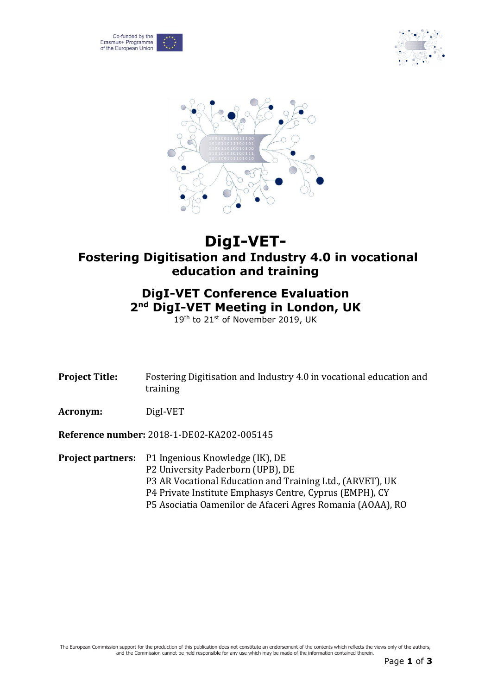





## **DigI-VET-Fostering Digitisation and Industry 4.0 in vocational education and training**

## **DigI-VET Conference Evaluation 2 nd DigI-VET Meeting in London, UK**

19th to 21st of November 2019, UK

| <b>Project Title:</b> | Fostering Digitisation and Industry 4.0 in vocational education and<br>training                                                                          |
|-----------------------|----------------------------------------------------------------------------------------------------------------------------------------------------------|
| Acronym:              | DigI-VET                                                                                                                                                 |
|                       | Reference number: 2018-1-DE02-KA202-005145                                                                                                               |
|                       | <b>Project partners:</b> P1 Ingenious Knowledge (IK), DE<br>P2 University Paderborn (UPB), DE<br>O AD Vecational Education and Training Ltd. (ADVET) HIL |

P3 AR Vocational Education and Training Ltd., (ARVET), UK P4 Private Institute Emphasys Centre, Cyprus (EMPH), CY P5 Asociatia Oamenilor de Afaceri Agres Romania (AOAA), RO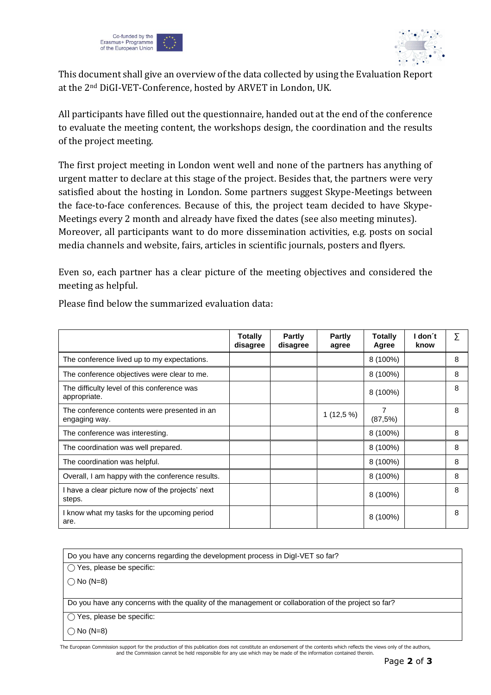



This document shall give an overview of the data collected by using the Evaluation Report at the 2nd DiGI-VET-Conference, hosted by ARVET in London, UK.

All participants have filled out the questionnaire, handed out at the end of the conference to evaluate the meeting content, the workshops design, the coordination and the results of the project meeting.

The first project meeting in London went well and none of the partners has anything of urgent matter to declare at this stage of the project. Besides that, the partners were very satisfied about the hosting in London. Some partners suggest Skype-Meetings between the face-to-face conferences. Because of this, the project team decided to have Skype-Meetings every 2 month and already have fixed the dates (see also meeting minutes). Moreover, all participants want to do more dissemination activities, e.g. posts on social media channels and website, fairs, articles in scientific journals, posters and flyers.

Even so, each partner has a clear picture of the meeting objectives and considered the meeting as helpful.

|                                                               | <b>Totally</b><br>disagree | Partly<br>disagree | Partly<br>agree | Totally<br>Agree | l don´t<br>know | Σ |
|---------------------------------------------------------------|----------------------------|--------------------|-----------------|------------------|-----------------|---|
| The conference lived up to my expectations.                   |                            |                    |                 | 8 (100%)         |                 | 8 |
| The conference objectives were clear to me.                   |                            |                    |                 | 8 (100%)         |                 | 8 |
| The difficulty level of this conference was<br>appropriate.   |                            |                    |                 | 8 (100%)         |                 | 8 |
| The conference contents were presented in an<br>engaging way. |                            |                    | $1(12,5\%)$     | 7<br>(87,5%)     |                 | 8 |
| The conference was interesting.                               |                            |                    |                 | 8 (100%)         |                 | 8 |
| The coordination was well prepared.                           |                            |                    |                 | 8 (100%)         |                 | 8 |
| The coordination was helpful.                                 |                            |                    |                 | 8 (100%)         |                 | 8 |
| Overall, I am happy with the conference results.              |                            |                    |                 | 8 (100%)         |                 | 8 |
| I have a clear picture now of the projects' next<br>steps.    |                            |                    |                 | 8 (100%)         |                 | 8 |
| I know what my tasks for the upcoming period<br>are.          |                            |                    |                 | $8(100\%)$       |                 | 8 |

Please find below the summarized evaluation data:

Do you have any concerns regarding the development process in DigI-VET so far?

◯ Yes, please be specific:

 $\bigcap$  No (N=8)

Do you have any concerns with the quality of the management or collaboration of the project so far?

⃝ Yes, please be specific:

 $\bigcap$  No (N=8)

The European Commission support for the production of this publication does not constitute an endorsement of the contents which reflects the views only of the authors, and the Commission cannot be held responsible for any use which may be made of the information contained therein.